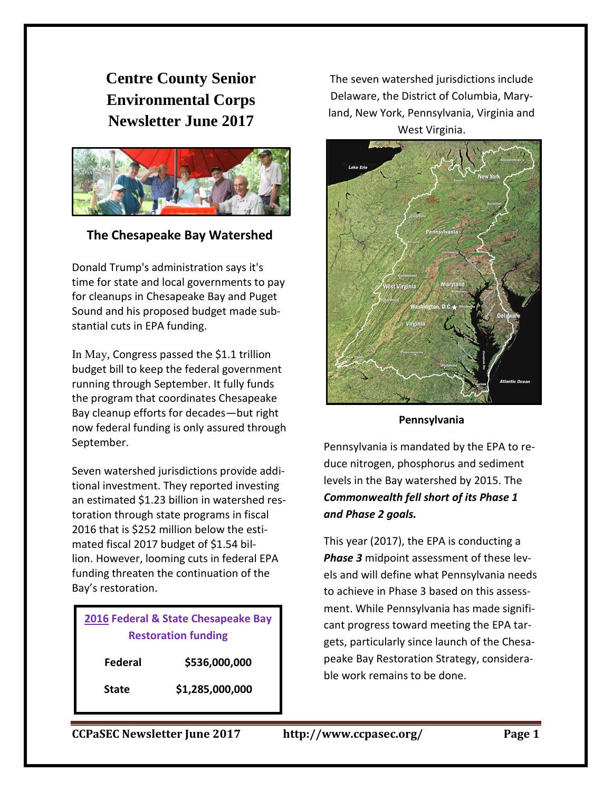**Centre County Senior Environmental Corps Newsletter June 2017**



**The Chesapeake Bay Watershed**

Donald Trump's administration says it's time for state and local governments to pay for cleanups in Chesapeake Bay and Puget Sound and his proposed budget made substantial cuts in EPA funding.

In May, Congress passed the \$1.1 trillion budget bill to keep the federal government running through September. It fully funds the program that coordinates Chesapeake Bay cleanup efforts for decades—but right now federal funding is only assured through September.

Seven watershed jurisdictions provide additional investment. They reported investing an estimated \$1.23 billion in watershed restoration through state programs in fiscal 2016 that is \$252 million below the estimated fiscal 2017 budget of \$1.54 billion. However, looming cuts in federal EPA funding threaten the continuation of the Bay's restoration.

| 2016 Federal & State Chesapeake Bay |
|-------------------------------------|
| <b>Restoration funding</b>          |
|                                     |

**Federal \$536,000,000**

**State \$1,285,000,000**

The seven watershed jurisdictions include Delaware, the District of Columbia, Maryland, New York, Pennsylvania, Virginia and West Virginia.



**Pennsylvania**

Pennsylvania is mandated by the EPA to reduce nitrogen, phosphorus and sediment levels in the Bay watershed by 2015. The *Commonwealth fell short of its Phase 1 and Phase 2 goals.*

This year (2017), the EPA is conducting a *Phase 3* midpoint assessment of these levels and will define what Pennsylvania needs to achieve in Phase 3 based on this assessment. While Pennsylvania has made significant progress toward meeting the EPA targets, particularly since launch of the Chesapeake Bay Restoration Strategy, considerable work remains to be done.

**CCPaSEC Newsletter June 2017 http://www.ccpasec.org/ Page 1**